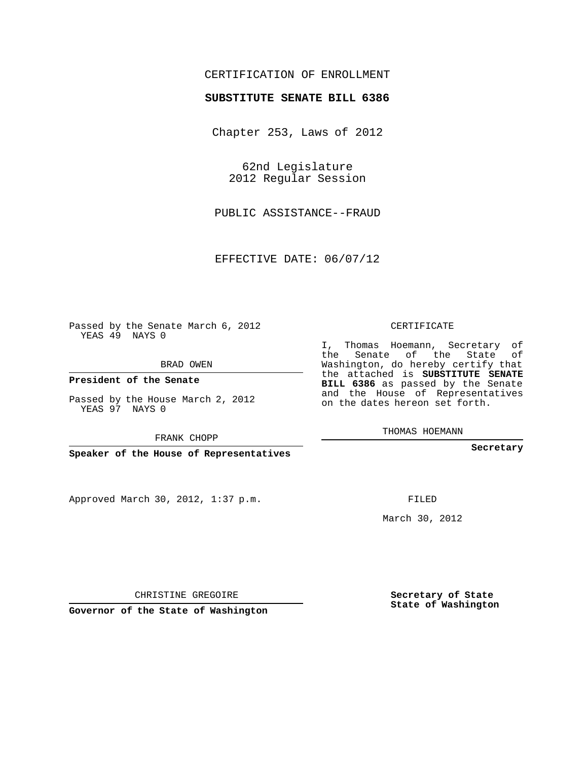## CERTIFICATION OF ENROLLMENT

## **SUBSTITUTE SENATE BILL 6386**

Chapter 253, Laws of 2012

62nd Legislature 2012 Regular Session

PUBLIC ASSISTANCE--FRAUD

EFFECTIVE DATE: 06/07/12

Passed by the Senate March 6, 2012 YEAS 49 NAYS 0

BRAD OWEN

**President of the Senate**

Passed by the House March 2, 2012 YEAS 97 NAYS 0

FRANK CHOPP

**Speaker of the House of Representatives**

Approved March 30, 2012, 1:37 p.m.

CERTIFICATE

I, Thomas Hoemann, Secretary of the Senate of the State of Washington, do hereby certify that the attached is **SUBSTITUTE SENATE BILL 6386** as passed by the Senate and the House of Representatives on the dates hereon set forth.

THOMAS HOEMANN

**Secretary**

FILED

March 30, 2012

**Secretary of State State of Washington**

CHRISTINE GREGOIRE

**Governor of the State of Washington**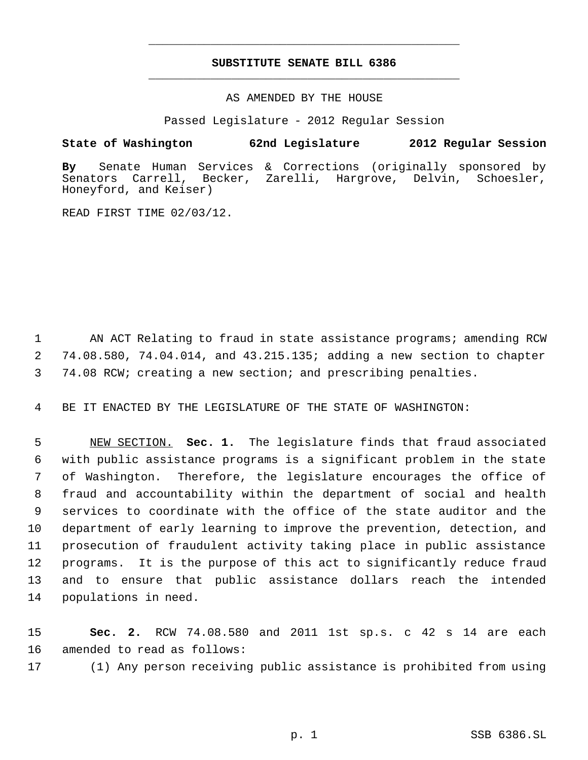## **SUBSTITUTE SENATE BILL 6386** \_\_\_\_\_\_\_\_\_\_\_\_\_\_\_\_\_\_\_\_\_\_\_\_\_\_\_\_\_\_\_\_\_\_\_\_\_\_\_\_\_\_\_\_\_

\_\_\_\_\_\_\_\_\_\_\_\_\_\_\_\_\_\_\_\_\_\_\_\_\_\_\_\_\_\_\_\_\_\_\_\_\_\_\_\_\_\_\_\_\_

AS AMENDED BY THE HOUSE

Passed Legislature - 2012 Regular Session

## **State of Washington 62nd Legislature 2012 Regular Session**

**By** Senate Human Services & Corrections (originally sponsored by Senators Carrell, Becker, Zarelli, Hargrove, Delvin, Schoesler, Honeyford, and Keiser)

READ FIRST TIME 02/03/12.

1 AN ACT Relating to fraud in state assistance programs; amending RCW 2 74.08.580, 74.04.014, and 43.215.135; adding a new section to chapter 3 74.08 RCW; creating a new section; and prescribing penalties.

4 BE IT ENACTED BY THE LEGISLATURE OF THE STATE OF WASHINGTON:

 NEW SECTION. **Sec. 1.** The legislature finds that fraud associated with public assistance programs is a significant problem in the state of Washington. Therefore, the legislature encourages the office of fraud and accountability within the department of social and health services to coordinate with the office of the state auditor and the department of early learning to improve the prevention, detection, and prosecution of fraudulent activity taking place in public assistance programs. It is the purpose of this act to significantly reduce fraud and to ensure that public assistance dollars reach the intended populations in need.

15 **Sec. 2.** RCW 74.08.580 and 2011 1st sp.s. c 42 s 14 are each 16 amended to read as follows:

17 (1) Any person receiving public assistance is prohibited from using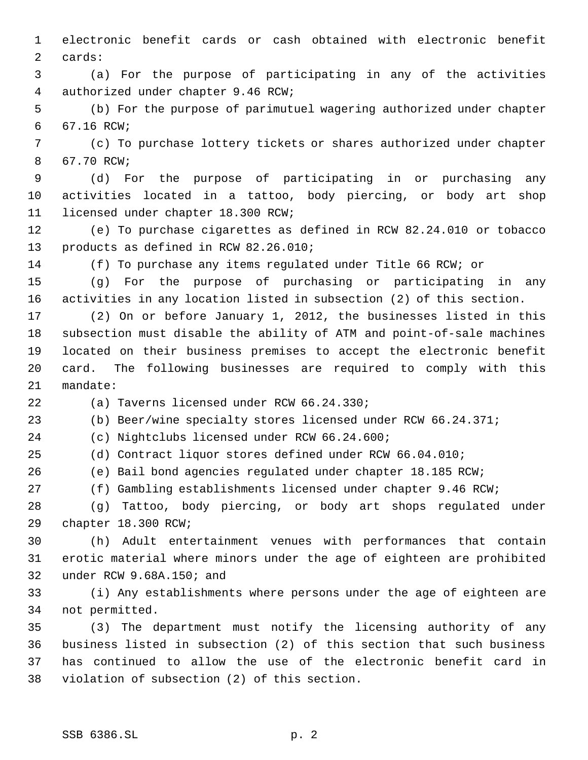electronic benefit cards or cash obtained with electronic benefit cards:

 (a) For the purpose of participating in any of the activities authorized under chapter 9.46 RCW;

 (b) For the purpose of parimutuel wagering authorized under chapter 67.16 RCW;

 (c) To purchase lottery tickets or shares authorized under chapter 67.70 RCW;

 (d) For the purpose of participating in or purchasing any activities located in a tattoo, body piercing, or body art shop licensed under chapter 18.300 RCW;

 (e) To purchase cigarettes as defined in RCW 82.24.010 or tobacco products as defined in RCW 82.26.010;

(f) To purchase any items regulated under Title 66 RCW; or

 (g) For the purpose of purchasing or participating in any activities in any location listed in subsection (2) of this section.

 (2) On or before January 1, 2012, the businesses listed in this subsection must disable the ability of ATM and point-of-sale machines located on their business premises to accept the electronic benefit card. The following businesses are required to comply with this mandate:

(a) Taverns licensed under RCW 66.24.330;

(b) Beer/wine specialty stores licensed under RCW 66.24.371;

(c) Nightclubs licensed under RCW 66.24.600;

(d) Contract liquor stores defined under RCW 66.04.010;

(e) Bail bond agencies regulated under chapter 18.185 RCW;

(f) Gambling establishments licensed under chapter 9.46 RCW;

 (g) Tattoo, body piercing, or body art shops regulated under chapter 18.300 RCW;

 (h) Adult entertainment venues with performances that contain erotic material where minors under the age of eighteen are prohibited under RCW 9.68A.150; and

 (i) Any establishments where persons under the age of eighteen are not permitted.

 (3) The department must notify the licensing authority of any business listed in subsection (2) of this section that such business has continued to allow the use of the electronic benefit card in violation of subsection (2) of this section.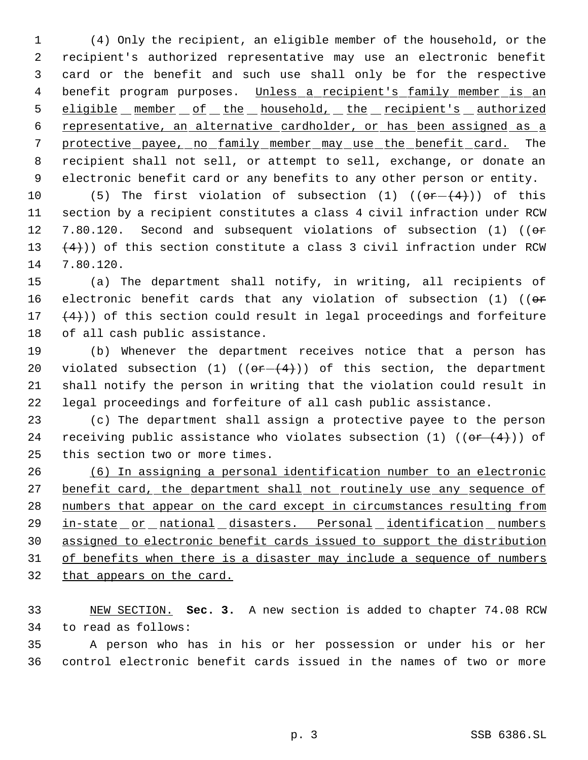(4) Only the recipient, an eligible member of the household, or the recipient's authorized representative may use an electronic benefit card or the benefit and such use shall only be for the respective 4 benefit program purposes. Unless a recipient's family member is an 5 eligible member of the household, the recipient's authorized representative, an alternative cardholder, or has been assigned as a 7 protective payee, no family member may use the benefit card. The recipient shall not sell, or attempt to sell, exchange, or donate an electronic benefit card or any benefits to any other person or entity.

10 (5) The first violation of subsection (1)  $((\theta + \theta + \theta))$  of this 11 section by a recipient constitutes a class 4 civil infraction under RCW 12 7.80.120. Second and subsequent violations of subsection (1) (( $\theta$ re 13  $(4)$ )) of this section constitute a class 3 civil infraction under RCW 14 7.80.120.

 (a) The department shall notify, in writing, all recipients of 16 electronic benefit cards that any violation of subsection (1) (( $\sigma$ r  $(4)$ )) of this section could result in legal proceedings and forfeiture of all cash public assistance.

 (b) Whenever the department receives notice that a person has 20 violated subsection (1)  $((or - (4))$  of this section, the department shall notify the person in writing that the violation could result in legal proceedings and forfeiture of all cash public assistance.

23 (c) The department shall assign a protective payee to the person 24 receiving public assistance who violates subsection (1) ( $(\overline{or} + \overline{(4)}})$ ) of 25 this section two or more times.

26 (6) In assigning a personal identification number to an electronic 27 benefit card, the department shall not routinely use any sequence of 28 numbers that appear on the card except in circumstances resulting from 29 in-state or national disasters. Personal identification numbers 30 assigned to electronic benefit cards issued to support the distribution 31 of benefits when there is a disaster may include a sequence of numbers 32 that appears on the card.

33 NEW SECTION. **Sec. 3.** A new section is added to chapter 74.08 RCW 34 to read as follows:

35 A person who has in his or her possession or under his or her 36 control electronic benefit cards issued in the names of two or more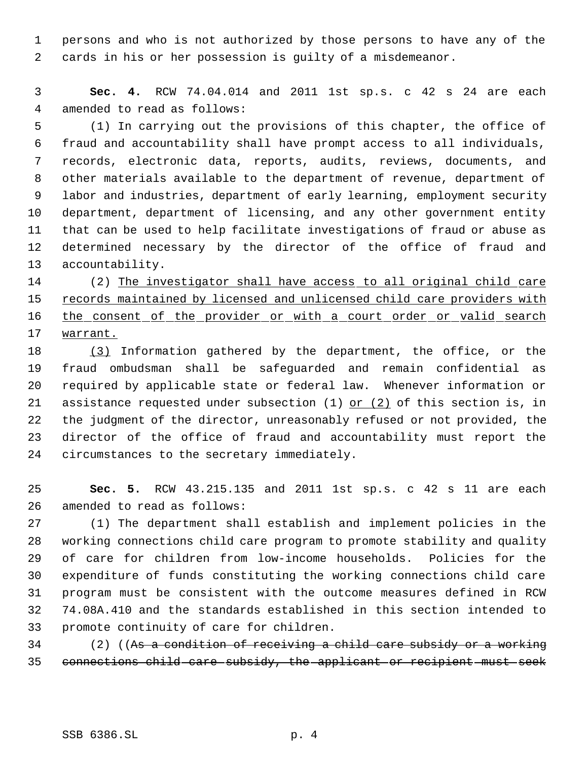persons and who is not authorized by those persons to have any of the cards in his or her possession is guilty of a misdemeanor.

 **Sec. 4.** RCW 74.04.014 and 2011 1st sp.s. c 42 s 24 are each amended to read as follows:

 (1) In carrying out the provisions of this chapter, the office of fraud and accountability shall have prompt access to all individuals, records, electronic data, reports, audits, reviews, documents, and other materials available to the department of revenue, department of labor and industries, department of early learning, employment security department, department of licensing, and any other government entity that can be used to help facilitate investigations of fraud or abuse as determined necessary by the director of the office of fraud and accountability.

14 (2) The investigator shall have access to all original child care 15 records maintained by licensed and unlicensed child care providers with 16 the consent of the provider or with a court order or valid search warrant.

 (3) Information gathered by the department, the office, or the fraud ombudsman shall be safeguarded and remain confidential as required by applicable state or federal law. Whenever information or 21 assistance requested under subsection  $(1)$  or  $(2)$  of this section is, in the judgment of the director, unreasonably refused or not provided, the director of the office of fraud and accountability must report the circumstances to the secretary immediately.

 **Sec. 5.** RCW 43.215.135 and 2011 1st sp.s. c 42 s 11 are each amended to read as follows:

 (1) The department shall establish and implement policies in the working connections child care program to promote stability and quality of care for children from low-income households. Policies for the expenditure of funds constituting the working connections child care program must be consistent with the outcome measures defined in RCW 74.08A.410 and the standards established in this section intended to promote continuity of care for children.

 (2) ((As a condition of receiving a child care subsidy or a working connections child care subsidy, the applicant or recipient must seek